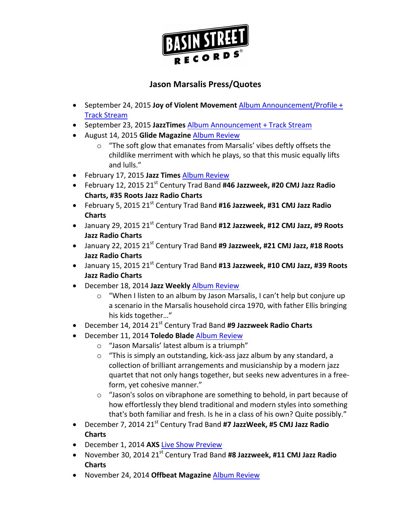

- September 24, 2015 **Joy of Violent Movement** Album Announcement/Profile + Track Stream
- September 23, 2015 JazzTimes Album Announcement + Track Stream
- August 14, 2015 Glide Magazine Album Review
	- $\circ$  "The soft glow that emanates from Marsalis' vibes deftly offsets the childlike merriment with which he plays, so that this music equally lifts and lulls."
- February 17, 2015 Jazz Times Album Review
- February 12, 2015 21<sup>st</sup> Century Trad Band #46 Jazzweek, #20 CMJ Jazz Radio **Charts, #35 Roots Jazz Radio Charts**
- February 5, 2015 21<sup>st</sup> Century Trad Band #16 Jazzweek, #31 CMJ Jazz Radio **Charts**
- January 29, 2015 21<sup>st</sup> Century Trad Band #12 Jazzweek, #12 CMJ Jazz, #9 Roots **Jazz Radio Charts**
- January 22, 2015 21<sup>st</sup> Century Trad Band #9 Jazzweek, #21 CMJ Jazz, #18 Roots **Jazz Radio Charts**
- January 15, 2015 21<sup>st</sup> Century Trad Band #13 Jazzweek, #10 CMJ Jazz, #39 Roots **Jazz Radio Charts**
- December 18, 2014 Jazz Weekly Album Review
	- $\circ$  "When I listen to an album by Jason Marsalis, I can't help but conjure up a scenario in the Marsalis household circa 1970, with father Ellis bringing his kids together..."
- December 14, 2014 21<sup>st</sup> Century Trad Band #9 Jazzweek Radio Charts
- **•** December 11, 2014 Toledo Blade Album Review
	- $\circ$  "Jason Marsalis' latest album is a triumph"
	- $\circ$  "This is simply an outstanding, kick-ass jazz album by any standard, a collection of brilliant arrangements and musicianship by a modern jazz quartet that not only hangs together, but seeks new adventures in a freeform, yet cohesive manner."
	- $\circ$  "Jason's solos on vibraphone are something to behold, in part because of how effortlessly they blend traditional and modern styles into something that's both familiar and fresh. Is he in a class of his own? Quite possibly."
- December 7, 2014 21<sup>st</sup> Century Trad Band #7 JazzWeek, #5 CMJ Jazz Radio **Charts**
- December 1, 2014 AXS Live Show Preview
- November 30, 2014 21<sup>st</sup> Century Trad Band #8 Jazzweek, #11 CMJ Jazz Radio **Charts**
- November 24, 2014 Offbeat Magazine Album Review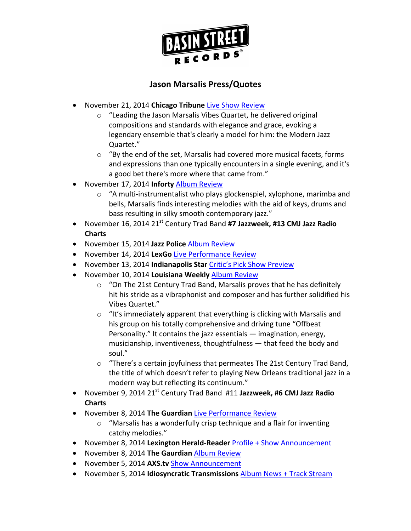

- November 21, 2014 Chicago Tribune Live Show Review
	- $\circ$  "Leading the Jason Marsalis Vibes Quartet, he delivered original compositions and standards with elegance and grace, evoking a legendary ensemble that's clearly a model for him: the Modern Jazz Quartet."
	- $\circ$  "By the end of the set, Marsalis had covered more musical facets, forms and expressions than one typically encounters in a single evening, and it's a good bet there's more where that came from."
- November 17, 2014 Inforty Album Review
	- $\circ$  "A multi-instrumentalist who plays glockenspiel, xylophone, marimba and bells, Marsalis finds interesting melodies with the aid of keys, drums and bass resulting in silky smooth contemporary jazz."
- November 16, 2014 21<sup>st</sup> Century Trad Band #7 Jazzweek, #13 CMJ Jazz Radio **Charts**
- November 15, 2014 Jazz Police Album Review
- November 14, 2014 LexGo Live Performance Review
- November 13, 2014 **Indianapolis Star** Critic's Pick Show Preview
- November 10, 2014 Louisiana Weekly Album Review
	- $\circ$  "On The 21st Century Trad Band, Marsalis proves that he has definitely hit his stride as a vibraphonist and composer and has further solidified his Vibes Quartet."
	- $\circ$  "It's immediately apparent that everything is clicking with Marsalis and his group on his totally comprehensive and driving tune "Offbeat Personality." It contains the jazz essentials  $-$  imagination, energy, musicianship, inventiveness, thoughtfulness  $-$  that feed the body and soul."
	- $\circ$  "There's a certain joyfulness that permeates The 21st Century Trad Band, the title of which doesn't refer to playing New Orleans traditional jazz in a modern way but reflecting its continuum."
- November 9, 2014 21<sup>st</sup> Century Trad Band #11 Jazzweek, #6 CMJ Jazz Radio **Charts**
- November 8, 2014 The Guardian Live Performance Review
	- $\circ$  "Marsalis has a wonderfully crisp technique and a flair for inventing catchy melodies."
- November 8, 2014 Lexington Herald-Reader Profile + Show Announcement
- **•** November 8, 2014 The Gaurdian Album Review
- November 5, 2014 AXS.tv Show Announcement
- November 5, 2014 **Idiosyncratic Transmissions** Album News + Track Stream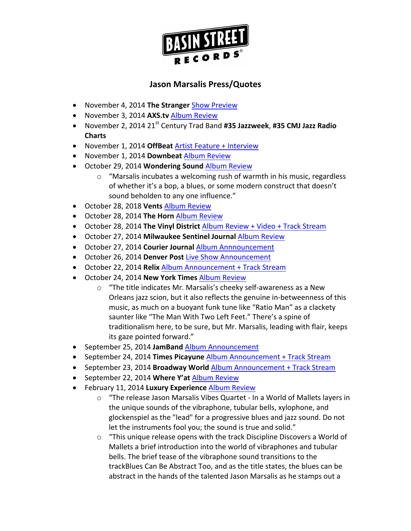

- November 4, 2014 The Stranger Show Preview
- November 3, 2014 AXS.tv Album Review
- November 2, 2014 21<sup>st</sup> Century Trad Band #35 Jazzweek, #35 CMJ Jazz Radio **Charts**
- November 1, 2014 OffBeat Artist Feature + Interview
- November 1, 2014 Downbeat Album Review
- **•** October 29, 2014 Wondering Sound Album Review
	- $\circ$  "Marsalis incubates a welcoming rush of warmth in his music, regardless of whether it's a bop, a blues, or some modern construct that doesn't sound beholden to any one influence."
- **•** October 28, 2018 Vents Album Review
- October 28, 2014 The Horn Album Review
- October 28, 2014 The Vinyl District Album Review + Video + Track Stream
- **•** October 27, 2014 Milwaukee Sentinel Journal Album Review
- **•** October 27, 2014 Courier Journal Album Annnouncement
- October 26, 2014 Denver Post Live Show Announcement
- October 22, 2014 **Relix** Album Announcement + Track Stream
- October 24, 2014 **New York Times** Album Review
	- $\circ$  "The title indicates Mr. Marsalis's cheeky self-awareness as a New Orleans jazz scion, but it also reflects the genuine in-betweenness of this music, as much on a buoyant funk tune like "Ratio Man" as a clackety saunter like "The Man With Two Left Feet." There's a spine of traditionalism here, to be sure, but Mr. Marsalis, leading with flair, keeps its gaze pointed forward."
- September 25, 2014 **JamBand** Album Announcement
- September 24, 2014 **Times Picayune** Album Announcement + Track Stream
- September 23, 2014 **Broadway World** Album Announcement + Track Stream
- September 22, 2014 Where Y'at Album Review
- **•** February 11, 2014 Luxury Experience Album Review
	- $\circ$  "The release Jason Marsalis Vibes Quartet In a World of Mallets layers in the unique sounds of the vibraphone, tubular bells, xylophone, and glockenspiel as the "lead" for a progressive blues and jazz sound. Do not let the instruments fool you; the sound is true and solid."
	- $\circ$  "This unique release opens with the track Discipline Discovers a World of Mallets a brief introduction into the world of vibraphones and tubular bells. The brief tease of the vibraphone sound transitions to the trackBlues Can Be Abstract Too, and as the title states, the blues can be abstract in the hands of the talented Jason Marsalis as he stamps out a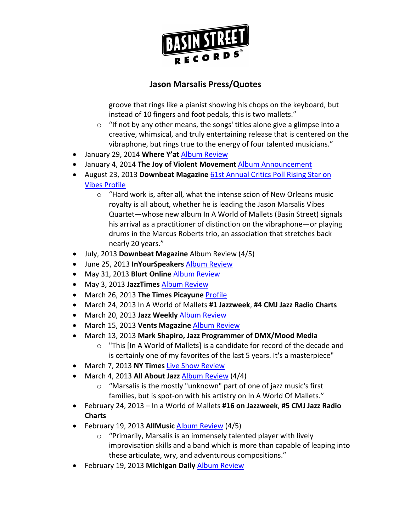

groove that rings like a pianist showing his chops on the keyboard, but instead of 10 fingers and foot pedals, this is two mallets."

- $\circ$  "If not by any other means, the songs' titles alone give a glimpse into a creative, whimsical, and truly entertaining release that is centered on the vibraphone, but rings true to the energy of four talented musicians."
- January 29, 2014 Where Y'at Album Review
- January 4, 2014 The Joy of Violent Movement Album Announcement
- August 23, 2013 **Downbeat Magazine** 61st Annual Critics Poll Rising Star on **Vibes Profile** 
	- $\circ$  "Hard work is, after all, what the intense scion of New Orleans music royalty is all about, whether he is leading the Jason Marsalis Vibes Quartet—whose new album In A World of Mallets (Basin Street) signals his arrival as a practitioner of distinction on the vibraphone—or playing drums in the Marcus Roberts trio, an association that stretches back nearly 20 years."
- July, 2013 Downbeat Magazine Album Review (4/5)
- **•** June 25, 2013 InYourSpeakers Album Review
- May 31, 2013 Blurt Online Album Review
- May 3, 2013 JazzTimes Album Review
- March 26, 2013 The Times Picayune Profile
- March 24, 2013 In A World of Mallets #1 Jazzweek, #4 CMJ Jazz Radio Charts
- March 20, 2013 Jazz Weekly Album Review
- March 15, 2013 Vents Magazine Album Review
- March 13, 2013 Mark Shapiro, Jazz Programmer of DMX/Mood Media
	- $\circ$  "This [In A World of Mallets] is a candidate for record of the decade and is certainly one of my favorites of the last 5 years. It's a masterpiece"
- March 7, 2013 **NY Times Live Show Review**
- March 4, 2013 **All About Jazz** Album Review (4/4)
	- $\circ$  "Marsalis is the mostly "unknown" part of one of jazz music's first families, but is spot-on with his artistry on In A World Of Mallets."
- February 24, 2013 In a World of Mallets #16 on Jazzweek, #5 CMJ Jazz Radio **Charts**
- February 19, 2013 **AllMusic** Album Review (4/5)
	- $\circ$  "Primarily, Marsalis is an immensely talented player with lively improvisation skills and a band which is more than capable of leaping into these articulate, wry, and adventurous compositions."
- **•** February 19, 2013 Michigan Daily Album Review